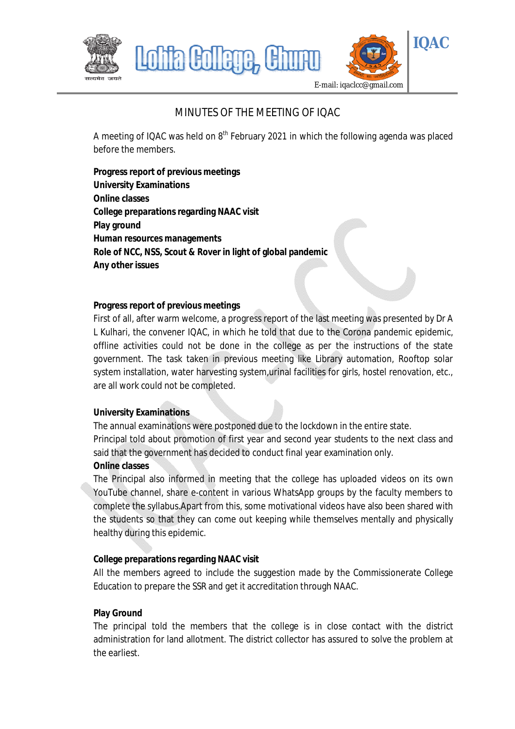

# MINUTES OF THE MEETING OF IOAC

A meeting of IQAC was held on 8<sup>th</sup> February 2021 in which the following agenda was placed before the members.

**Progress report of previous meetings University Examinations Online classes College preparations regarding NAAC visit Play ground Human resources managements Role of NCC, NSS, Scout & Rover in light of global pandemic Any other issues**

## **Progress report of previous meetings**

First of all, after warm welcome, a progress report of the last meeting was presented by Dr A L Kulhari, the convener IQAC, in which he told that due to the Corona pandemic epidemic, offline activities could not be done in the college as per the instructions of the state government. The task taken in previous meeting like Library automation, Rooftop solar system installation, water harvesting system, urinal facilities for girls, hostel renovation, etc., are all work could not be completed.

# **University Examinations**

The annual examinations were postponed due to the lockdown in the entire state. Principal told about promotion of first year and second year students to the next class and said that the government has decided to conduct final year examination only.

#### **Online classes**

The Principal also informed in meeting that the college has uploaded videos on its own YouTube channel, share e-content in various WhatsApp groups by the faculty members to complete the syllabus.Apart from this, some motivational videos have also been shared with the students so that they can come out keeping while themselves mentally and physically healthy during this epidemic.

# **College preparations regarding NAAC visit**

All the members agreed to include the suggestion made by the Commissionerate College Education to prepare the SSR and get it accreditation through NAAC.

# **Play Ground**

The principal told the members that the college is in close contact with the district administration for land allotment. The district collector has assured to solve the problem at the earliest.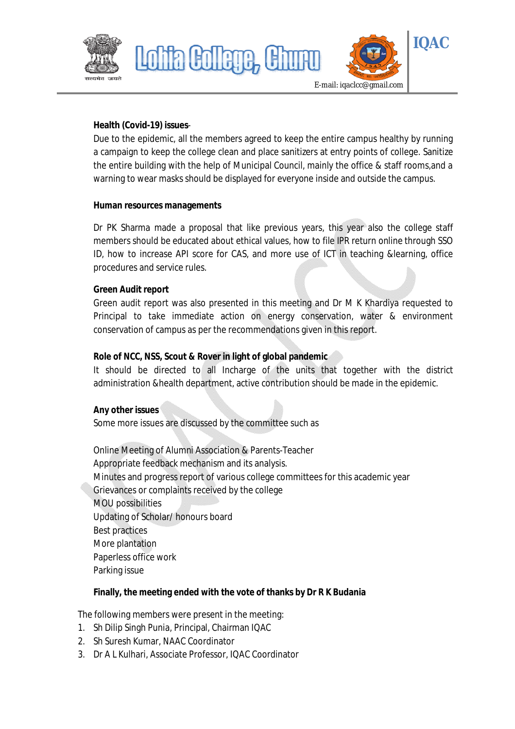



#### **Health (Covid-19) issues**-

Due to the epidemic, all the members agreed to keep the entire campus healthy by running a campaign to keep the college clean and place sanitizers at entry points of college. Sanitize the entire building with the help of Municipal Council, mainly the office & staff rooms,and a warning to wear masks should be displayed for everyone inside and outside the campus.

#### **Human resources managements**

Dr PK Sharma made a proposal that like previous years, this year also the college staff members should be educated about ethical values, how to file IPR return online through SSO ID, how to increase API score for CAS, and more use of ICT in teaching &learning, office procedures and service rules.

#### **Green Audit report**

Green audit report was also presented in this meeting and Dr M K Khardiya requested to Principal to take immediate action on energy conservation, water & environment conservation of campus as per the recommendations given in this report.

## **Role of NCC, NSS, Scout & Rover in light of global pandemic**

<u>ila Gollege</u>

It should be directed to all Incharge of the units that together with the district administration &health department, active contribution should be made in the epidemic.

#### **Any other issues**

Some more issues are discussed by the committee such as

Online Meeting of Alumni Association & Parents-Teacher Appropriate feedback mechanism and its analysis. Minutes and progress report of various college committees for this academic year Grievances or complaints received by the college MOU possibilities Updating of Scholar/ honours board Best practices More plantation Paperless office work Parking issue

#### **Finally, the meeting ended with the vote of thanks by Dr R K Budania**

The following members were present in the meeting:

- 1. Sh Dilip Singh Punia, Principal, Chairman IQAC
- 2. Sh Suresh Kumar, NAAC Coordinator
- 3. Dr A L Kulhari, Associate Professor, IQAC Coordinator